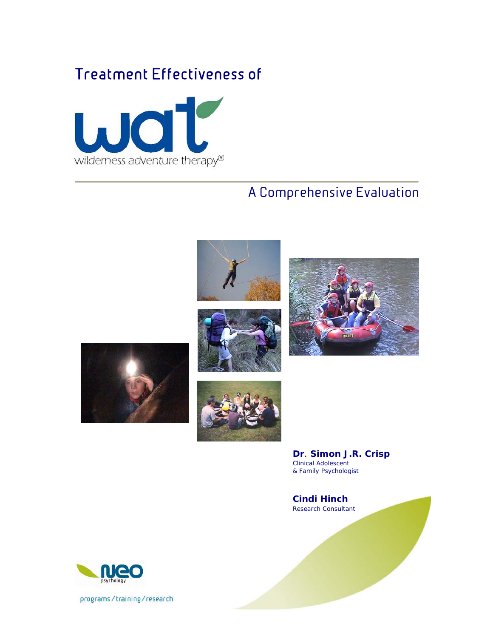# Treatment Effectiveness of



# A Comprehensive Evaluation









**Dr**. **Simon J.R. Crisp**  Clinical Adolescent & Family Psychologist

**Cindi Hinch**  Research Consultant



programs/training/research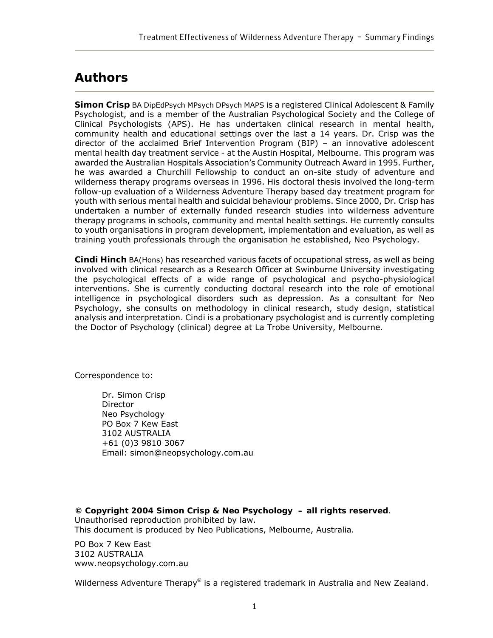## **Authors**

**Simon Crisp** BA DipEdPsych MPsych DPsych MAPS is a registered Clinical Adolescent & Family Psychologist, and is a member of the Australian Psychological Society and the College of Clinical Psychologists (APS). He has undertaken clinical research in mental health, community health and educational settings over the last a 14 years. Dr. Crisp was the director of the acclaimed Brief Intervention Program (BIP) – an innovative adolescent mental health day treatment service - at the Austin Hospital, Melbourne. This program was awarded the Australian Hospitals Association's Community Outreach Award in 1995. Further, he was awarded a Churchill Fellowship to conduct an on-site study of adventure and wilderness therapy programs overseas in 1996. His doctoral thesis involved the long-term follow-up evaluation of a Wilderness Adventure Therapy based day treatment program for youth with serious mental health and suicidal behaviour problems. Since 2000, Dr. Crisp has undertaken a number of externally funded research studies into wilderness adventure therapy programs in schools, community and mental health settings. He currently consults to youth organisations in program development, implementation and evaluation, as well as training youth professionals through the organisation he established, Neo Psychology.

**Cindi Hinch** BA(Hons) has researched various facets of occupational stress, as well as being involved with clinical research as a Research Officer at Swinburne University investigating the psychological effects of a wide range of psychological and psycho-physiological interventions. She is currently conducting doctoral research into the role of emotional intelligence in psychological disorders such as depression. As a consultant for Neo Psychology, she consults on methodology in clinical research, study design, statistical analysis and interpretation. Cindi is a probationary psychologist and is currently completing the Doctor of Psychology (clinical) degree at La Trobe University, Melbourne.

Correspondence to:

Dr. Simon Crisp Director Neo Psychology PO Box 7 Kew East 3102 AUSTRALIA +61 (0)3 9810 3067 Email: simon@neopsychology.com.au

**© Copyright 2004 Simon Crisp & Neo Psychology – all rights reserved**. Unauthorised reproduction prohibited by law. This document is produced by Neo Publications, Melbourne, Australia.

PO Box 7 Kew East 3102 AUSTRALIA www.neopsychology.com.au

Wilderness Adventure Therapy® is a registered trademark in Australia and New Zealand.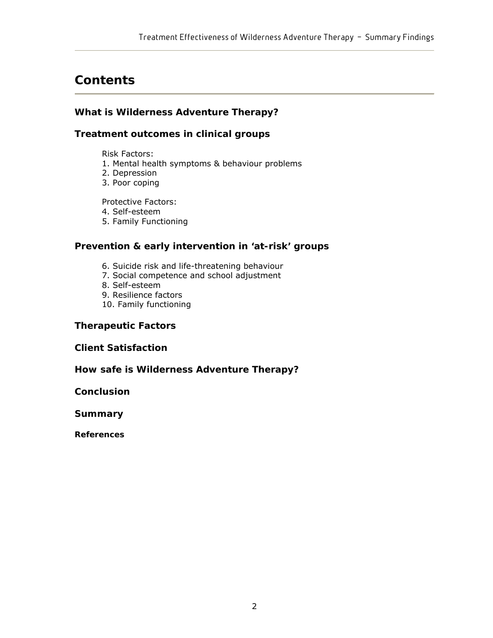## **Contents**

### **What is Wilderness Adventure Therapy?**

### **Treatment outcomes in clinical groups**

Risk Factors:

- 1. Mental health symptoms & behaviour problems
- 2. Depression
- 3. Poor coping

Protective Factors:

4. Self-esteem

5. Family Functioning

### **Prevention & early intervention in 'at-risk' groups**

- 6. Suicide risk and life-threatening behaviour
- 7. Social competence and school adjustment
- 8. Self-esteem
- 9. Resilience factors
- 10. Family functioning

### **Therapeutic Factors**

**Client Satisfaction** 

**How safe is Wilderness Adventure Therapy?** 

**Conclusion** 

**Summary** 

**References**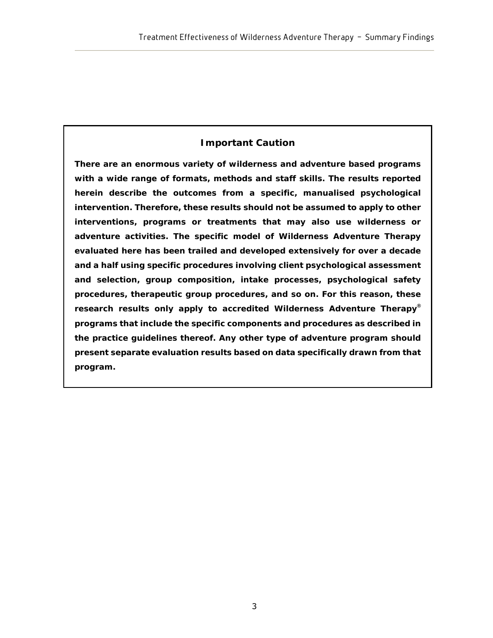## **Important Caution**

**There are an enormous variety of wilderness and adventure based programs with a wide range of formats, methods and staff skills. The results reported herein describe the outcomes from a specific, manualised psychological intervention. Therefore, these results should not be assumed to apply to other interventions, programs or treatments that may also use wilderness or adventure activities. The specific model of Wilderness Adventure Therapy evaluated here has been trailed and developed extensively for over a decade and a half using specific procedures involving client psychological assessment and selection, group composition, intake processes, psychological safety procedures, therapeutic group procedures, and so on. For this reason, these research results only apply to accredited Wilderness Adventure Therapy® programs that include the specific components and procedures as described in the practice guidelines thereof. Any other type of adventure program should present separate evaluation results based on data specifically drawn from that program.**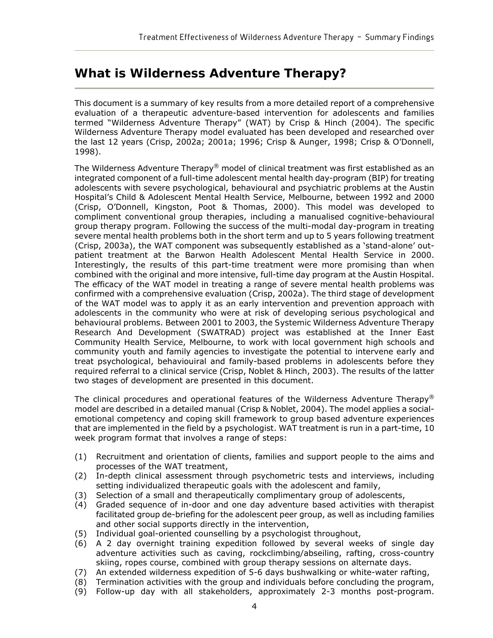## **What is Wilderness Adventure Therapy?**

This document is a summary of key results from a more detailed report of a comprehensive evaluation of a therapeutic adventure-based intervention for adolescents and families termed "Wilderness Adventure Therapy" (WAT) by Crisp & Hinch (2004). The specific Wilderness Adventure Therapy model evaluated has been developed and researched over the last 12 years (Crisp, 2002a; 2001a; 1996; Crisp & Aunger, 1998; Crisp & O'Donnell, 1998).

The Wilderness Adventure Therapy® model of clinical treatment was first established as an integrated component of a full-time adolescent mental health day-program (BIP) for treating adolescents with severe psychological, behavioural and psychiatric problems at the Austin Hospital's Child & Adolescent Mental Health Service, Melbourne, between 1992 and 2000 (Crisp, O'Donnell, Kingston, Poot & Thomas, 2000). This model was developed to compliment conventional group therapies, including a manualised cognitive-behavioural group therapy program. Following the success of the multi-modal day-program in treating severe mental health problems both in the short term and up to 5 years following treatment (Crisp, 2003a), the WAT component was subsequently established as a 'stand-alone' outpatient treatment at the Barwon Health Adolescent Mental Health Service in 2000. Interestingly, the results of this part-time treatment were more promising than when combined with the original and more intensive, full-time day program at the Austin Hospital. The efficacy of the WAT model in treating a range of severe mental health problems was confirmed with a comprehensive evaluation (Crisp, 2002a). The third stage of development of the WAT model was to apply it as an early intervention and prevention approach with adolescents in the community who were at risk of developing serious psychological and behavioural problems. Between 2001 to 2003, the *Systemic Wilderness Adventure Therapy Research And Development* (SWATRAD) project was established at the Inner East Community Health Service, Melbourne, to work with local government high schools and community youth and family agencies to investigate the potential to intervene early and treat psychological, behaviouiral and family-based problems in adolescents before they required referral to a clinical service (Crisp, Noblet & Hinch, 2003). The results of the latter two stages of development are presented in this document.

The clinical procedures and operational features of the Wilderness Adventure Therapy<sup>®</sup> model are described in a detailed manual (Crisp & Noblet, 2004). The model applies a socialemotional competency and coping skill framework to group based adventure experiences that are implemented in the field by a psychologist. WAT treatment is run in a part-time, 10 week program format that involves a range of steps:

- (1) Recruitment and orientation of clients, families and support people to the aims and processes of the WAT treatment,
- (2) In-depth clinical assessment through psychometric tests and interviews, including setting individualized therapeutic goals with the adolescent and family,
- (3) Selection of a small and therapeutically complimentary group of adolescents,
- (4) Graded sequence of in-door and one day adventure based activities with therapist facilitated group de-briefing for the adolescent peer group, as well as including families and other social supports directly in the intervention,
- (5) Individual goal-oriented counselling by a psychologist throughout,
- (6) A 2 day overnight training expedition followed by several weeks of single day adventure activities such as caving, rockclimbing/abseiling, rafting, cross-country skiing, ropes course, combined with group therapy sessions on alternate days.
- (7) An extended wilderness expedition of 5-6 days bushwalking or white-water rafting,
- (8) Termination activities with the group and individuals before concluding the program,
- (9) Follow-up day with all stakeholders, approximately 2-3 months post-program.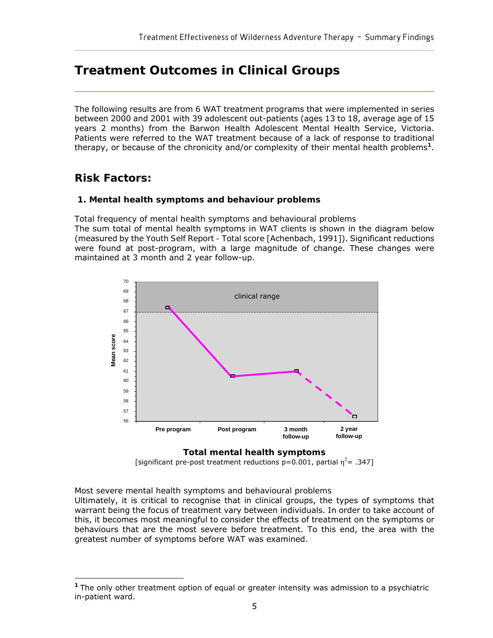## **Treatment Outcomes in Clinical Groups**

The following results are from 6 WAT treatment programs that were implemented in series between 2000 and 2001 with 39 adolescent out-patients (ages 13 to 18, average age of 15 years 2 months) from the Barwon Health Adolescent Mental Health Service, Victoria. Patients were referred to the WAT treatment because of a lack of response to traditional therapy, or because of the chronicity and/or complexity of their mental health problems**<sup>1</sup>**.

## **Risk Factors:**

 $\overline{a}$ 

### **1. Mental health symptoms and behaviour problems**

#### *Total frequency of mental health symptoms and behavioural problems*

The sum total of mental health symptoms in WAT clients is shown in the diagram below (measured by the *Youth Self Report - Total score* [Achenbach, 1991]). Significant reductions were found at post-program, with a large magnitude of change. These changes were maintained at 3 month and 2 year follow-up.



#### **Total mental health symptoms**

[significant pre-post treatment reductions  $p=0.001$ , partial  $\eta^2$ = .347]

#### *Most severe mental health symptoms and behavioural problems*

Ultimately, it is critical to recognise that in clinical groups, the types of symptoms that warrant being the focus of treatment vary between individuals. In order to take account of this, it becomes most meaningful to consider the effects of treatment on the symptoms or behaviours that are the most severe before treatment. To this end, the area with the greatest number of symptoms before WAT was examined.

**<sup>1</sup>** The only other treatment option of equal or greater intensity was admission to a psychiatric in-patient ward.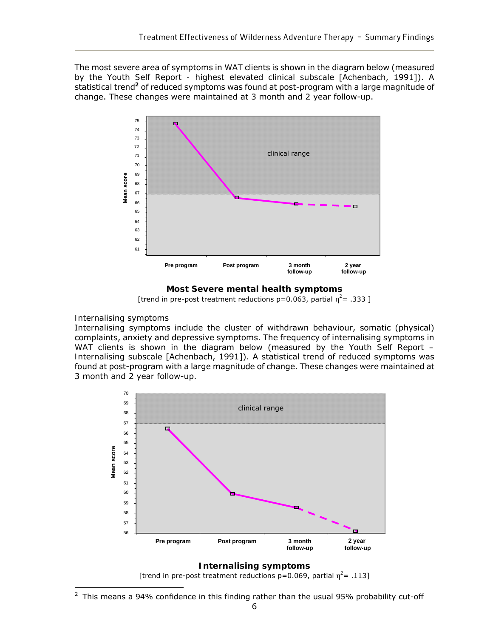The most severe area of symptoms in WAT clients is shown in the diagram below (measured by the *Youth Self Report - highest elevated clinical subscale* [Achenbach, 1991]). A statistical trend**<sup>2</sup>** of reduced symptoms was found at post-program with a large magnitude of change. These changes were maintained at 3 month and 2 year follow-up.



**Most Severe mental health symptoms** 

[trend in pre-post treatment reductions  $p=0.063$ , partial  $\eta^2$ = .333 ]

#### *Internalising symptoms*

Internalising symptoms include the cluster of withdrawn behaviour, somatic (physical) complaints, anxiety and depressive symptoms. The frequency of internalising symptoms in WAT clients is shown in the diagram below (measured by the *Youth Self Report – Internalising subscale* [Achenbach, 1991]). A statistical trend of reduced symptoms was found at post-program with a large magnitude of change. These changes were maintained at 3 month and 2 year follow-up.



#### **Internalising symptoms**

[trend in pre-post treatment reductions p=0.069, partial  $\eta^2$ = .113]

 $\overline{a}$  $2$  This means a 94% confidence in this finding rather than the usual 95% probability cut-off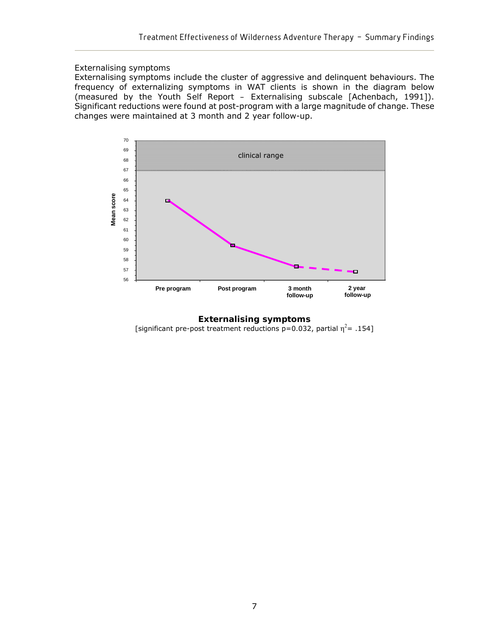#### *Externalising symptoms*

Externalising symptoms include the cluster of aggressive and delinquent behaviours. The frequency of externalizing symptoms in WAT clients is shown in the diagram below (measured by the *Youth Self Report – Externalising subscale* [Achenbach, 1991]). Significant reductions were found at post-program with a large magnitude of change. These changes were maintained at 3 month and 2 year follow-up.



**Externalising symptoms**  [significant pre-post treatment reductions  $p=0.032$ , partial  $\eta^2$ = .154]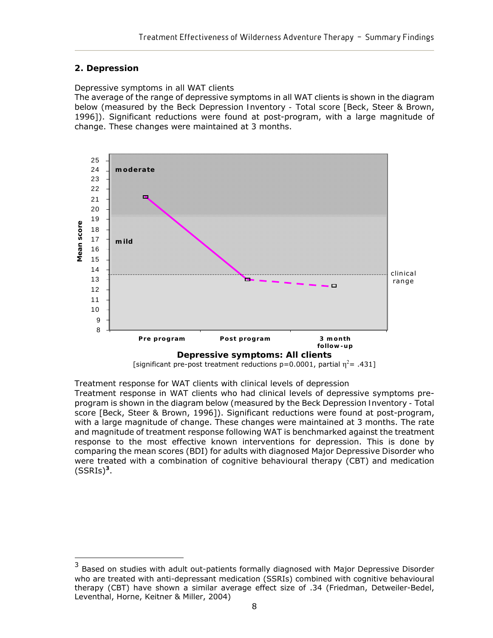### **2. Depression**

#### *Depressive symptoms in all WAT clients*

The average of the range of depressive symptoms in all WAT clients is shown in the diagram below (measured by the *Beck Depression Inventory - Total score* [Beck, Steer & Brown, 1996]). Significant reductions were found at post-program, with a large magnitude of change. These changes were maintained at 3 months.



[significant pre-post treatment reductions  $p=0.0001$ , partial  $\eta^2$ = .431]

*Treatment response for WAT clients with clinical levels of depression* 

Treatment response in WAT clients who had clinical levels of depressive symptoms preprogram is shown in the diagram below (measured by the *Beck Depression Inventory - Total score* [Beck, Steer & Brown, 1996]). Significant reductions were found at post-program, with a large magnitude of change. These changes were maintained at 3 months. The rate and magnitude of treatment response following WAT is benchmarked against the treatment response to the most effective known interventions for depression. This is done by comparing the mean scores (BDI) for adults with diagnosed Major Depressive Disorder who were treated with a combination of cognitive behavioural therapy (CBT) and medication  $(SSRIs)<sup>3</sup>$ .

<sup>3</sup> Based on studies with adult out-patients formally diagnosed with Major Depressive Disorder who are treated with anti-depressant medication (SSRIs) combined with cognitive behavioural therapy (CBT) have shown a similar average effect size of .34 (Friedman, Detweiler-Bedel, Leventhal, Horne, Keitner & Miller, 2004)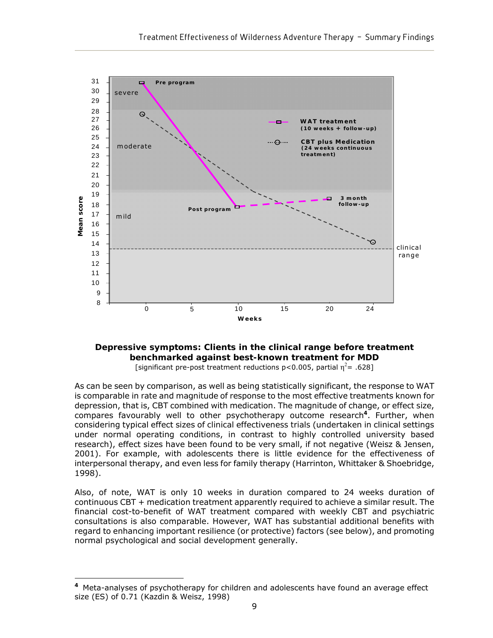

#### **Depressive symptoms: Clients in the clinical range before treatment benchmarked against best-known treatment for MDD**  [significant pre-post treatment reductions p<0.005, partial  $\eta^2$  = .628]

As can be seen by comparison, as well as being statistically significant, the response to WAT is comparable in *rate* and *magnitude* of response to the most effective treatments known for depression, that is, CBT combined with medication. The magnitude of change, or *effect size*, compares favourably well to other psychotherapy outcome research**<sup>4</sup>**. Further, when considering typical effect sizes of *clinical effectiveness trials* (undertaken in clinical settings under normal operating conditions, in contrast to highly controlled university based research), effect sizes have been found to be very small, if not negative (Weisz & Jensen, 2001). For example, with adolescents there is little evidence for the effectiveness of interpersonal therapy, and even less for family therapy (Harrinton, Whittaker & Shoebridge, 1998).

Also, of note, WAT is only 10 weeks in duration compared to 24 weeks duration of continuous CBT + medication treatment apparently required to achieve a similar result. The financial cost-to-benefit of WAT treatment compared with weekly CBT and psychiatric consultations is also comparable. However, WAT has substantial additional benefits with regard to enhancing important resilience (or protective) factors (see below), and promoting normal psychological and social development generally.

 $\overline{a}$ 

**<sup>4</sup>**Meta-analyses of psychotherapy for children and adolescents have found an average effect size (ES) of 0.71 (Kazdin & Weisz, 1998)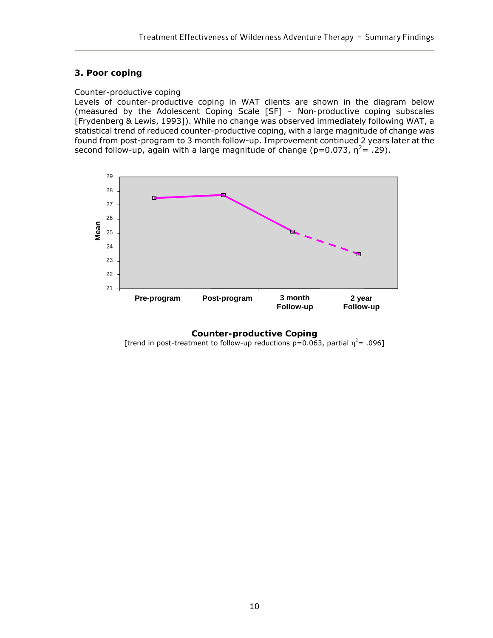#### **3. Poor coping**

#### *Counter-productive coping*

Levels of counter-productive coping in WAT clients are shown in the diagram below (measured by the Adolescent Coping Scale [SF] *– Non-productive coping* subscales [Frydenberg & Lewis, 1993]). While no change was observed immediately following WAT, a statistical trend of reduced counter-productive coping, with a large magnitude of change was found from post-program to 3 month follow-up. Improvement continued 2 years later at the second follow-up, again with a large magnitude of change (p=0.073,  $\eta^2$ = .29).



**Counter-productive Coping** 

[trend in post-treatment to follow-up reductions  $p=0.063$ , partial  $\eta^2$ = .096]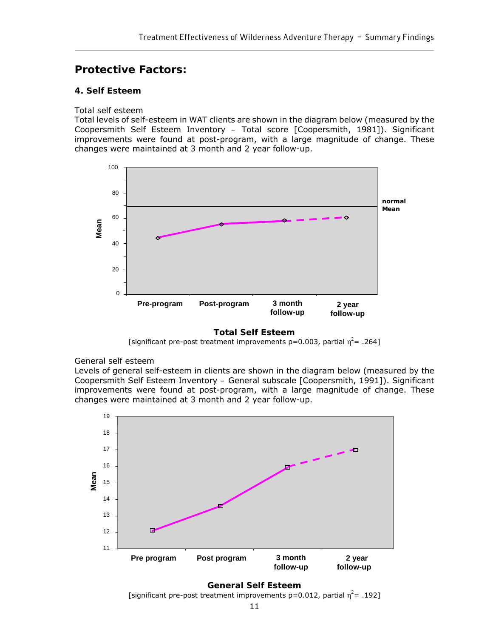## **Protective Factors:**

#### **4. Self Esteem**

#### *Total self esteem*

Total levels of self-esteem in WAT clients are shown in the diagram below (measured by the Coopersmith Self Esteem Inventory *– Total* score [Coopersmith, 1981]). Significant improvements were found at post-program, with a large magnitude of change. These changes were maintained at 3 month and 2 year follow-up.



#### **Total Self Esteem**

[significant pre-post treatment improvements p=0.003, partial  $\eta^2$ = .264]

#### *General self esteem*

Levels of general self-esteem in clients are shown in the diagram below (measured by the Coopersmith Self Esteem Inventory *– General* subscale [Coopersmith, 1991]). Significant improvements were found at post-program, with a large magnitude of change. These changes were maintained at 3 month and 2 year follow-up.



**General Self Esteem**  [significant pre-post treatment improvements  $p=0.012$ , partial  $\eta^2$ = .192]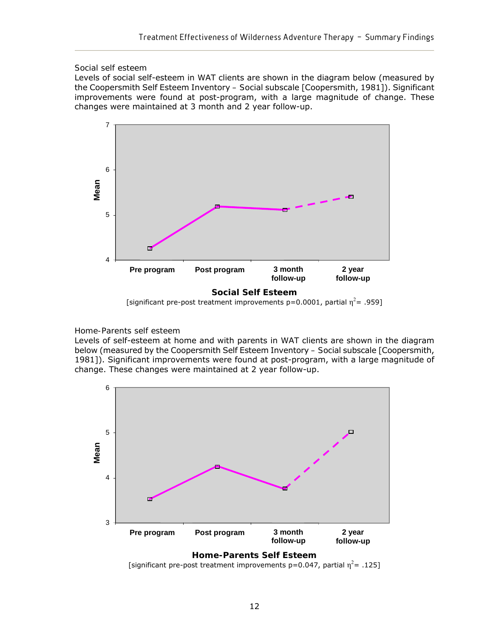#### *Social self esteem*

Levels of social self-esteem in WAT clients are shown in the diagram below (measured by the Coopersmith Self Esteem Inventory *– Social* subscale [Coopersmith, 1981]). Significant improvements were found at post-program, with a large magnitude of change. These changes were maintained at 3 month and 2 year follow-up.



<sup>[</sup>significant pre-post treatment improvements p=0.0001, partial  $\eta^2$ = .959]

#### *Home-Parents self esteem*

Levels of self-esteem at home and with parents in WAT clients are shown in the diagram below (measured by the Coopersmith Self Esteem Inventory *– Social* subscale [Coopersmith, 1981]). Significant improvements were found at post-program, with a large magnitude of change. These changes were maintained at 2 year follow-up.



[significant pre-post treatment improvements p=0.047, partial  $\eta^2$ = .125]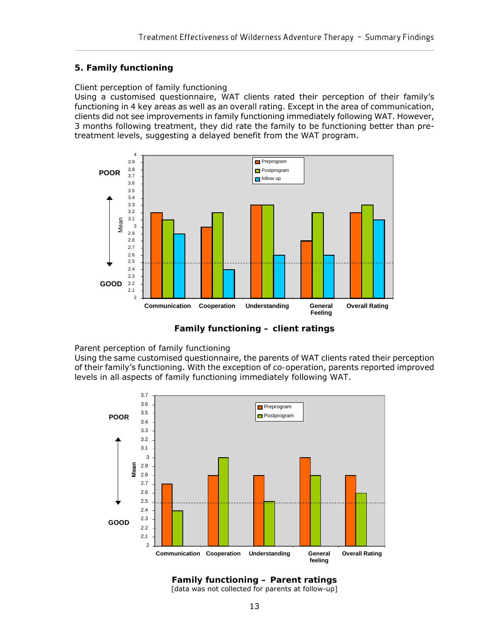#### **5. Family functioning**

#### *Client perception of family functioning*

Using a customised questionnaire, WAT clients rated their perception of their family's functioning in 4 key areas as well as an overall rating. Except in the area of *communication*, clients did not see improvements in family functioning immediately following WAT. However, 3 months following treatment, they did rate the family to be functioning better than pretreatment levels, suggesting a delayed benefit from the WAT program.



**Family functioning – client ratings** 

#### *Parent perception of family functioning*

Using the same customised questionnaire, the parents of WAT clients rated their perception of their family's functioning. With the exception of *co-operation*, parents reported improved levels in all aspects of family functioning immediately following WAT.



**Family functioning – Parent ratings** [data was not collected for parents at follow-up]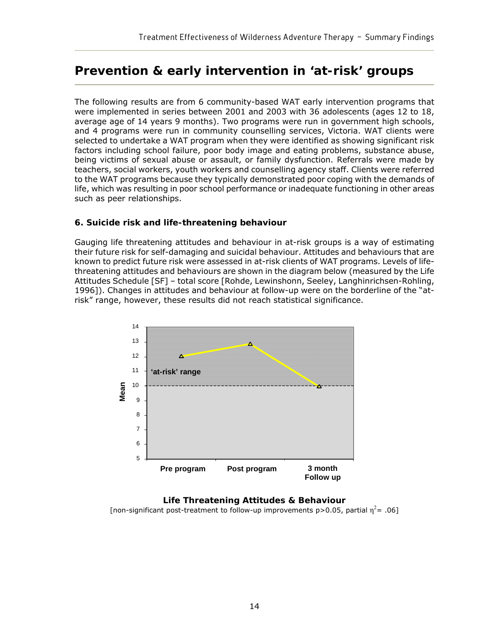## **Prevention & early intervention in 'at-risk' groups**

The following results are from 6 community-based WAT early intervention programs that were implemented in series between 2001 and 2003 with 36 adolescents (ages 12 to 18, average age of 14 years 9 months). Two programs were run in government high schools, and 4 programs were run in community counselling services, Victoria. WAT clients were selected to undertake a WAT program when they were identified as showing significant risk factors including school failure, poor body image and eating problems, substance abuse, being victims of sexual abuse or assault, or family dysfunction. Referrals were made by teachers, social workers, youth workers and counselling agency staff. Clients were referred to the WAT programs because they typically demonstrated poor coping with the demands of life, which was resulting in poor school performance or inadequate functioning in other areas such as peer relationships.

#### **6. Suicide risk and life-threatening behaviour**

Gauging life threatening attitudes and behaviour in at-risk groups is a way of estimating their *future* risk for self-damaging and suicidal behaviour. Attitudes and behaviours that are known to predict future risk were assessed in at-risk clients of WAT programs. Levels of lifethreatening attitudes and behaviours are shown in the diagram below (measured by the Life Attitudes Schedule [SF] – total score [Rohde, Lewinshonn, Seeley, Langhinrichsen-Rohling, 1996]). Changes in attitudes and behaviour at follow-up were on the borderline of the "atrisk" range, however, these results did not reach statistical significance.



#### **Life Threatening Attitudes & Behaviour**  [non-significant post-treatment to follow-up improvements p>0.05, partial  $\eta^2$ = .06]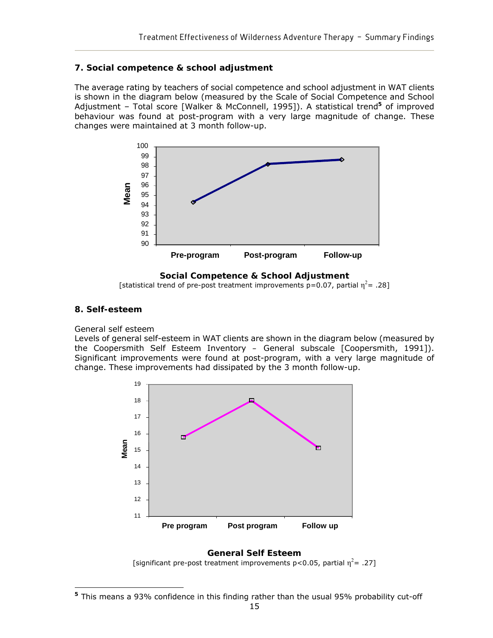#### **7. Social competence & school adjustment**

The average rating by teachers of social competence and school adjustment in WAT clients is shown in the diagram below (measured by the Scale of Social Competence and School Adjustment – *Total* score [Walker & McConnell, 1995]). A statistical trend**<sup>5</sup>** of improved behaviour was found at post-program with a very large magnitude of change. These changes were maintained at 3 month follow-up.



**Social Competence & School Adjustment** 

[statistical trend of pre-post treatment improvements p=0.07, partial  $\eta^2$ = .28]

### **8. Self-esteem**

#### *General self esteem*

Levels of general self-esteem in WAT clients are shown in the diagram below (measured by the Coopersmith Self Esteem Inventory *– General* subscale [Coopersmith, 1991]). Significant improvements were found at post-program, with a very large magnitude of change. These improvements had dissipated by the 3 month follow-up.



**General Self Esteem**  [significant pre-post treatment improvements p<0.05, partial  $\eta^2$ = .27]

 $\overline{a}$ **<sup>5</sup>** This means a 93% confidence in this finding rather than the usual 95% probability cut-off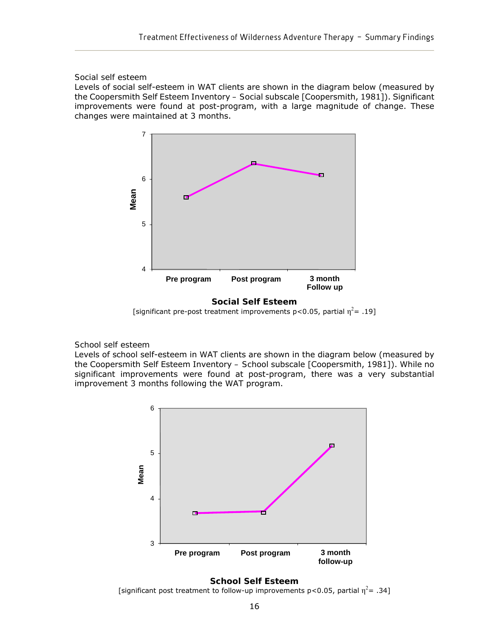#### *Social self esteem*

Levels of social self-esteem in WAT clients are shown in the diagram below (measured by the Coopersmith Self Esteem Inventory *– Social* subscale [Coopersmith, 1981]). Significant improvements were found at post-program, with a large magnitude of change. These changes were maintained at 3 months.





#### *School self esteem*

Levels of school self-esteem in WAT clients are shown in the diagram below (measured by the Coopersmith Self Esteem Inventory *– School* subscale [Coopersmith, 1981]). While no significant improvements were found at post-program, there was a very substantial improvement 3 months following the WAT program.





[significant post treatment to follow-up improvements p<0.05, partial  $\eta^2$ = .34]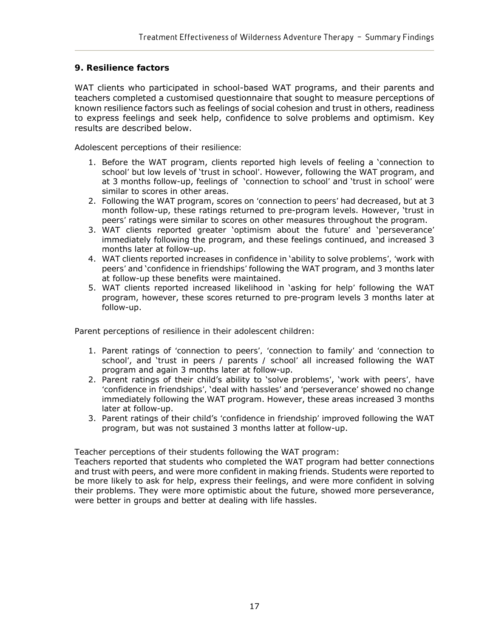### **9. Resilience factors**

WAT clients who participated in school-based WAT programs, and their parents and teachers completed a customised questionnaire that sought to measure perceptions of known resilience factors such as feelings of social cohesion and trust in others, readiness to express feelings and seek help, confidence to solve problems and optimism. Key results are described below.

#### *Adolescent perceptions of their resilience:*

- 1. Before the WAT program, clients reported high levels of feeling a '*connection to school'* but low levels of '*trust in school'*. However, following the WAT program, and at 3 months follow-up, feelings of '*connection to school'* and '*trust in school'* were similar to scores in other areas.
- 2. Following the WAT program, scores on *'connection to peers'* had decreased, but at 3 month follow-up, these ratings returned to pre-program levels. However, '*trust in peers'* ratings were similar to scores on other measures throughout the program.
- 3. WAT clients reported greater '*optimism about the future'* and '*perseverance'* immediately following the program, and these feelings continued, and increased 3 months later at follow-up.
- 4. WAT clients reported increases in confidence in '*ability to solve problems', 'work with peers'* and '*confidence in friendships'* following the WAT program, and 3 months later at follow-up these benefits were maintained.
- 5. WAT clients reported increased likelihood in '*asking for help'* following the WAT program, however, these scores returned to pre-program levels 3 months later at follow-up.

#### *Parent perceptions of resilience in their adolescent children*:

- 1. Parent ratings of *'connection to peers', 'connection* to *family'* and *'connection to school'*, and '*trust in peers / parents / school'* all increased following the WAT program and again 3 months later at follow-up.
- 2. Parent ratings of their child's ability to '*solve problems'*, '*work with peers',* have *'confidence in friendships',* '*deal with hassles'* and *'perseverance'* showed no change immediately following the WAT program. However, these areas increased 3 months later at follow-up.
- 3. Parent ratings of their child's *'confidence in friendship'* improved following the WAT program, but was not sustained 3 months latter at follow-up.

### *Teacher perceptions of their students following the WAT program*:

Teachers reported that students who completed the WAT program had better connections and trust with peers, and were more confident in making friends. Students were reported to be more likely to ask for help, express their feelings, and were more confident in solving their problems. They were more optimistic about the future, showed more perseverance, were better in groups and better at dealing with life hassles.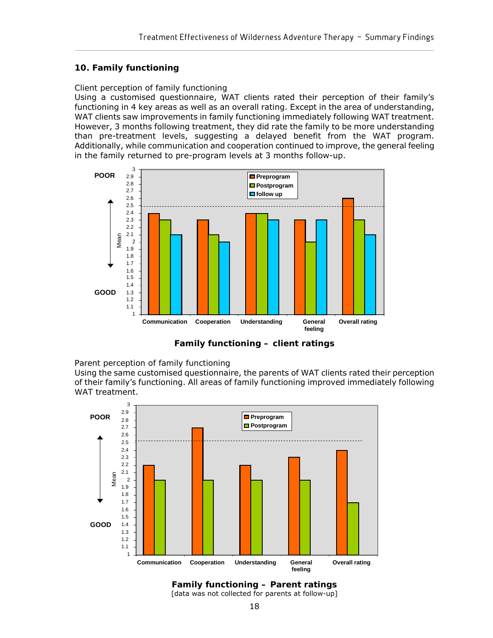#### **10. Family functioning**

#### *Client perception of family functioning*

Using a customised questionnaire, WAT clients rated their perception of their family's functioning in 4 key areas as well as an overall rating. Except in the area of *understanding*, WAT clients saw improvements in family functioning immediately following WAT treatment. However, 3 months following treatment, they did rate the family to be more understanding than pre-treatment levels, suggesting a delayed benefit from the WAT program. Additionally, while *communication* and *cooperation* continued to improve, the *general feeling* in the family returned to pre-program levels at 3 months follow-up.



**Family functioning – client ratings** 

#### *Parent perception of family functioning*

Using the same customised questionnaire, the parents of WAT clients rated their perception of their family's functioning. All areas of family functioning improved immediately following WAT treatment.



**Family functioning – Parent ratings** [data was not collected for parents at follow-up]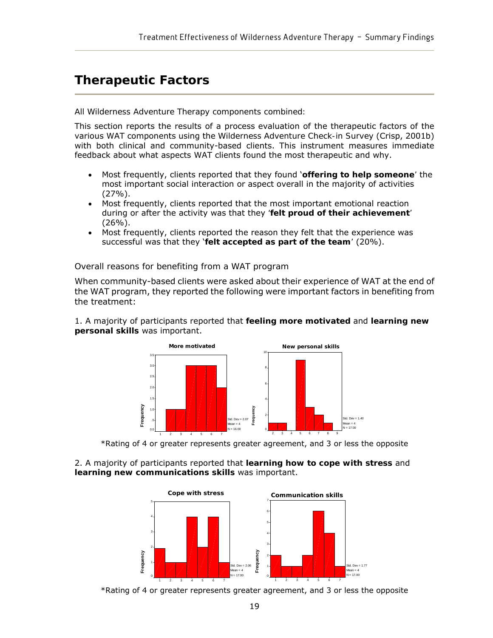## **Therapeutic Factors**

#### *All Wilderness Adventure Therapy components combined:*

This section reports the results of a process evaluation of the therapeutic factors of the various WAT components using the *Wilderness Adventure Check-in Survey* (Crisp, 2001b) with both clinical and community-based clients. This instrument measures immediate feedback about what aspects WAT clients found the most therapeutic and why.

- Most frequently, clients reported that they found '*offering to help someone'* the most important social interaction or aspect overall in the majority of activities (27%).
- Most frequently, clients reported that the most important emotional reaction during or after the activity was that they *'felt proud of their achievement'*   $(26\%)$ .
- Most frequently, clients reported the reason they felt that the experience was successful was that they '*felt accepted as part of the team'* (20%).

#### *Overall reasons for benefiting from a WAT program*

When community-based clients were asked about their experience of WAT at the end of the WAT program, they reported the following were important factors in benefiting from the treatment:

1. A majority of participants reported that *feeling more motivated* and *learning new personal skills* was important.



\*Rating of 4 or greater represents greater agreement, and 3 or less the opposite

2. A majority of participants reported that *learning how to cope with stress* and *learning new communications skills* was important.



\*Rating of 4 or greater represents greater agreement, and 3 or less the opposite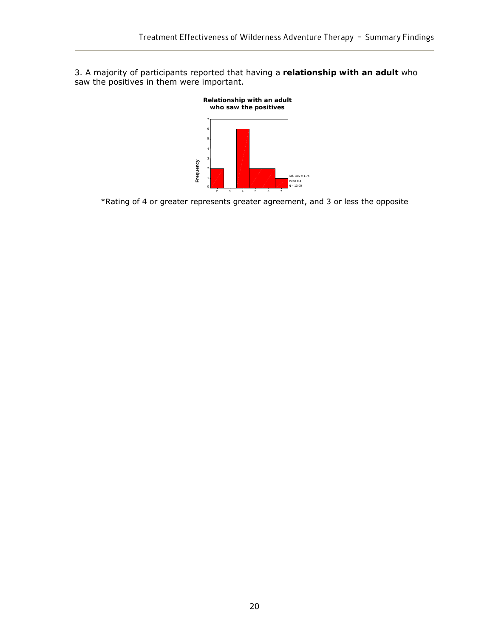3. A majority of participants reported that having a *relationship with an adult* who saw the positives in them were important.



\*Rating of 4 or greater represents greater agreement, and 3 or less the opposite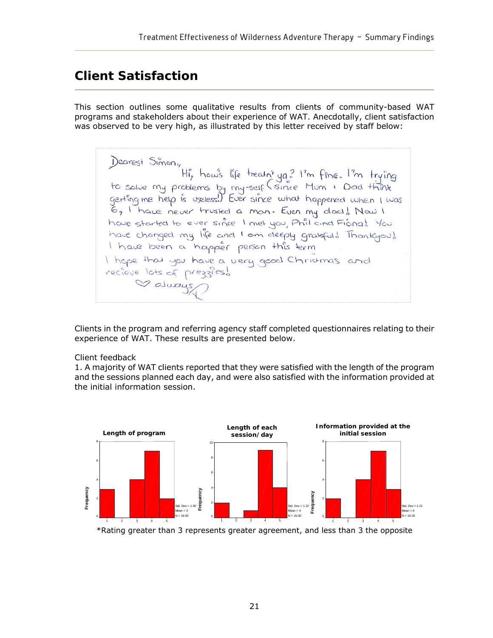## **Client Satisfaction**

This section outlines some qualitative results from clients of community-based WAT programs and stakeholders about their experience of WAT. Anecdotally, client satisfaction was observed to be very high, as illustrated by this letter received by staff below:

Dearest Simon,<br>Hi, how's life treath' you? I'm fine. I'm trying<br>to salve my problems by my-self (since Mum + Dad think<br>getting me help is useless!) Ever since what happened when I was<br>6, I have never trusted a mon. Even my have started to ever since I met you, Phil and Fiona! You have changed my life and I am deeply gratefuld Thankyou! I have been a happier person this term I hope that you have a very good Christmas and recieve lots of prezzies! Valuays

Clients in the program and referring agency staff completed questionnaires relating to their experience of WAT. These results are presented below.

#### *Client feedback*

1. A majority of WAT clients reported that they were satisfied with the length of the program and the sessions planned each day, and were also satisfied with the information provided at the initial information session.

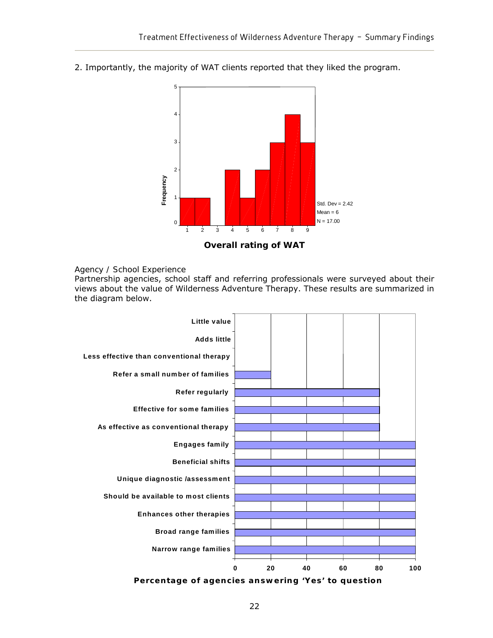

2. Importantly, the majority of WAT clients reported that they liked the program.



#### *Agency / School Experience*

Partnership agencies, school staff and referring professionals were surveyed about their views about the value of Wilderness Adventure Therapy. These results are summarized in the diagram below.



**Percentage of agencies answering 'Yes' to question**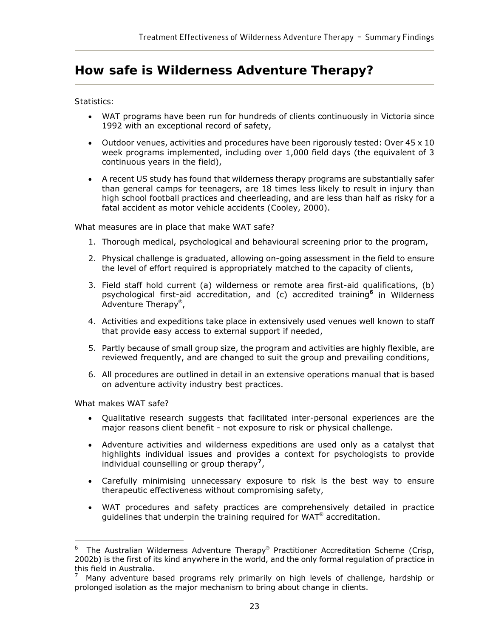## **How safe is Wilderness Adventure Therapy?**

#### *Statistics:*

- WAT programs have been run for hundreds of clients continuously in Victoria since 1992 with an exceptional record of safety,
- Outdoor venues, activities and procedures have been rigorously tested: Over  $45 \times 10$ week programs implemented, including over 1,000 field days (the equivalent of 3 continuous years in the field),
- A recent US study has found that wilderness therapy programs are substantially safer than general camps for teenagers, are 18 times less likely to result in injury than high school football practices and cheerleading, and are less than half as risky for a fatal accident as motor vehicle accidents (Cooley, 2000).

#### *What measures are in place that make WAT safe?*

- 1. Thorough medical, psychological and behavioural screening prior to the program,
- 2. Physical challenge is graduated, allowing on-going assessment in the field to ensure the level of effort required is appropriately matched to the capacity of clients,
- 3. Field staff hold current (a) wilderness or remote area first-aid qualifications, (b) psychological first-aid accreditation, and (c) accredited training**<sup>6</sup>** in Wilderness Adventure Therapy®,
- 4. Activities and expeditions take place in extensively used venues well known to staff that provide easy access to external support if needed,
- 5. Partly because of small group size, the program and activities are highly flexible, are reviewed frequently, and are changed to suit the group and prevailing conditions,
- 6. All procedures are outlined in detail in an extensive operations manual that is based on adventure activity industry best practices.

*What makes WAT safe?*

 $\overline{a}$ 

- Qualitative research suggests that facilitated inter-personal experiences are the major reasons client benefit - not exposure to risk or physical challenge.
- Adventure activities and wilderness expeditions are used only as a catalyst that highlights individual issues and provides a context for psychologists to provide individual counselling or group therapy**<sup>7</sup>**,
- Carefully minimising unnecessary exposure to risk is the best way to ensure therapeutic effectiveness without compromising safety,
- WAT procedures and safety practices are comprehensively detailed in practice guidelines that underpin the training required for WAT® accreditation.

<sup>6</sup> The Australian Wilderness Adventure Therapy® Practitioner Accreditation Scheme (Crisp, 2002b) is the first of its kind anywhere in the world, and the only formal regulation of practice in this field in Australia.

<sup>7</sup> Many adventure based programs rely primarily on high levels of challenge, hardship or prolonged isolation as the major mechanism to bring about change in clients.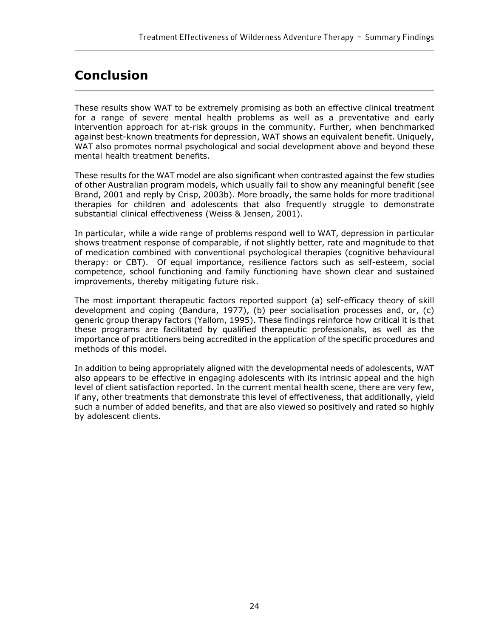## **Conclusion**

These results show WAT to be extremely promising as both an effective clinical treatment for a range of severe mental health problems as well as a preventative and early intervention approach for at-risk groups in the community. Further, when benchmarked against best-known treatments for depression, WAT shows an equivalent benefit. Uniquely, WAT also promotes normal psychological and social development above and beyond these mental health treatment benefits.

These results for the WAT model are also significant when contrasted against the few studies of other Australian program models, which usually fail to show any meaningful benefit (see Brand, 2001 and reply by Crisp, 2003b). More broadly, the same holds for more traditional therapies for children and adolescents that also frequently struggle to demonstrate substantial clinical effectiveness (Weiss & Jensen, 2001).

In particular, while a wide range of problems respond well to WAT, depression in particular shows treatment response of comparable, if not slightly better, rate and magnitude to that of medication combined with conventional psychological therapies (cognitive behavioural therapy: or CBT). Of equal importance, resilience factors such as self-esteem, social competence, school functioning and family functioning have shown clear and sustained improvements, thereby mitigating future risk.

The most important therapeutic factors reported support (a) self-efficacy theory of skill development and coping (Bandura, 1977), (b) peer socialisation processes and, or, (c) generic group therapy factors (Yallom, 1995). These findings reinforce how critical it is that these programs are facilitated by qualified therapeutic professionals, as well as the importance of practitioners being accredited in the application of the specific procedures and methods of this model.

In addition to being appropriately aligned with the developmental needs of adolescents, WAT also appears to be effective in engaging adolescents with its intrinsic appeal and the high level of client satisfaction reported. In the current mental health scene, there are very few, if any, other treatments that demonstrate this level of effectiveness, that additionally, yield such a number of added benefits, and that are also viewed so positively and rated so highly by adolescent clients.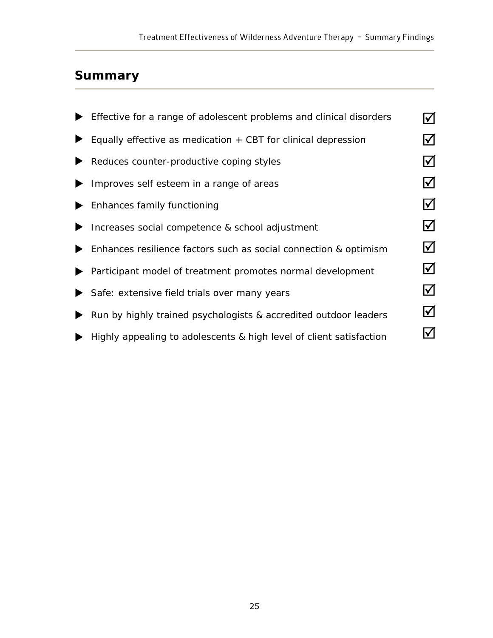# **Summary**

| Effective for a range of adolescent problems and clinical disorders |                        |
|---------------------------------------------------------------------|------------------------|
| Equally effective as medication $+$ CBT for clinical depression     | $\blacktriangledown$   |
| Reduces counter-productive coping styles                            | $\blacktriangledown$   |
| Improves self esteem in a range of areas                            | $\blacktriangledown$   |
| Enhances family functioning                                         | $ \!\sqrt{ }$          |
| Increases social competence & school adjustment                     | $ \boldsymbol{\surd} $ |
| Enhances resilience factors such as social connection & optimism    | $\blacktriangledown$   |
| Participant model of treatment promotes normal development          | $\bm{\mathcal{U}}$     |
| Safe: extensive field trials over many years                        | $\blacktriangledown$   |
| Run by highly trained psychologists & accredited outdoor leaders    | $\blacktriangledown$   |
| Highly appealing to adolescents & high level of client satisfaction |                        |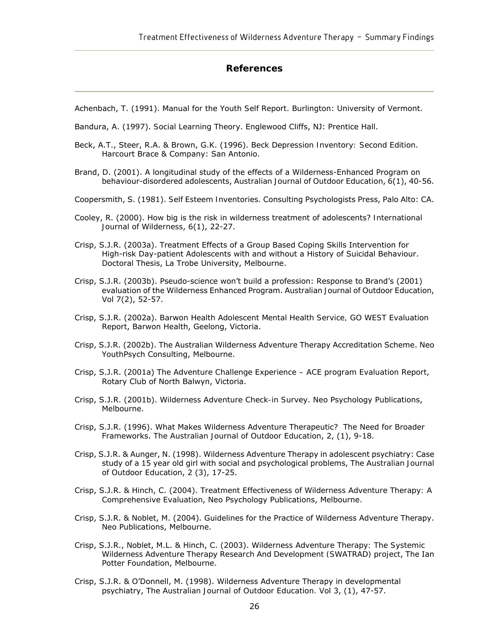### **References**

Achenbach, T. (1991). *Manual for the Youth Self Report*. Burlington: University of Vermont.

- Bandura, A. (1997). *Social Learning Theory*. Englewood Cliffs, NJ: Prentice Hall.
- Beck, A.T., Steer, R.A. & Brown, G.K. (1996). *Beck Depression Inventory: Second Edition*. Harcourt Brace & Company: San Antonio.
- Brand, D. (2001). A longitudinal study of the effects of a Wilderness-Enhanced Program on behaviour-disordered adolescents, *Australian Journal of Outdoor Education*, 6(1), 40-56.
- Coopersmith, S. (1981). *Self Esteem Inventories*. Consulting Psychologists Press, Palo Alto: CA.
- Cooley, R. (2000). How big is the risk in wilderness treatment of adolescents? *International Journal of Wilderness*, 6(1), 22-27.
- Crisp, S.J.R. (2003a). Treatment Effects of a Group Based Coping Skills Intervention for High-risk Day-patient Adolescents with and without a History of Suicidal Behaviour. Doctoral Thesis, La Trobe University, Melbourne.
- Crisp, S.J.R. (2003b). Pseudo-science won't build a profession: Response to Brand's (2001) evaluation of the Wilderness Enhanced Program. *Australian Journal of Outdoor Education*, Vol 7(2), 52-57.
- Crisp, S.J.R. (2002a). *Barwon Health Adolescent Mental Health Service, GO WEST Evaluation Report*, Barwon Health, Geelong, Victoria.
- Crisp, S.J.R. (2002b). The Australian Wilderness Adventure Therapy Accreditation Scheme. Neo YouthPsych Consulting, Melbourne.
- Crisp, S.J.R. (2001a) *The Adventure Challenge Experience ACE program Evaluation Report*, Rotary Club of North Balwyn, Victoria.
- Crisp, S.J.R. (2001b). *Wilderness Adventure Check-in Survey*. Neo Psychology Publications, Melbourne.
- Crisp, S.J.R. (1996). What Makes Wilderness Adventure Therapeutic? The Need for Broader Frameworks. *The Australian Journal of Outdoor Education*, 2, (1), 9-18.
- Crisp, S.J.R. & Aunger, N. (1998). Wilderness Adventure Therapy in adolescent psychiatry: Case study of a 15 year old girl with social and psychological problems, *The Australian Journal of Outdoor Education*, 2 (3), 17-25.
- Crisp, S.J.R. & Hinch, C. (2004). *Treatment Effectiveness of Wilderness Adventure Therapy: A Comprehensive Evaluation*, Neo Psychology Publications, Melbourne.
- Crisp, S.J.R. & Noblet, M. (2004). Guidelines for the Practice of Wilderness Adventure Therapy. Neo Publications, Melbourne.
- Crisp, S.J.R., Noblet, M.L. & Hinch, C. (2003). *Wilderness Adventure Therapy: The Systemic Wilderness Adventure Therapy Research And Development (SWATRAD) project*, The Ian Potter Foundation, Melbourne.
- Crisp, S.J.R. & O'Donnell, M. (1998). Wilderness Adventure Therapy in developmental psychiatry, *The Australian Journal of Outdoor Education.* Vol 3, (1), 47-57.